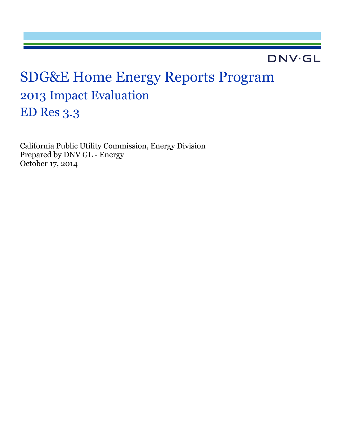# **DNV·GL**

# SDG&E Home Energy Reports Program 2013 Impact Evaluation ED Res 3.3

California Public Utility Commission, Energy Division Prepared by DNV GL - Energy October 17, 2014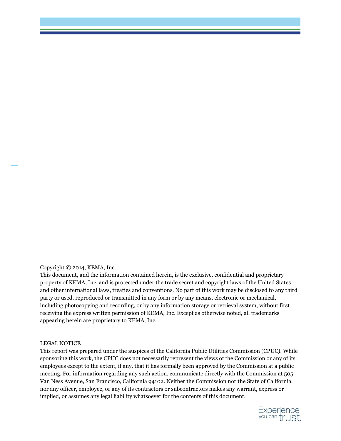#### Copyright © 2014, KEMA, Inc.

This document, and the information contained herein, is the exclusive, confidential and proprietary property of KEMA, Inc. and is protected under the trade secret and copyright laws of the United States and other international laws, treaties and conventions. No part of this work may be disclosed to any third party or used, reproduced or transmitted in any form or by any means, electronic or mechanical, including photocopying and recording, or by any information storage or retrieval system, without first receiving the express written permission of KEMA, Inc. Except as otherwise noted, all trademarks appearing herein are proprietary to KEMA, Inc.

#### LEGAL NOTICE

This report was prepared under the auspices of the California Public Utilities Commission (CPUC). While sponsoring this work, the CPUC does not necessarily represent the views of the Commission or any of its employees except to the extent, if any, that it has formally been approved by the Commission at a public meeting. For information regarding any such action, communicate directly with the Commission at 505 Van Ness Avenue, San Francisco, California 94102. Neither the Commission nor the State of California, nor any officer, employee, or any of its contractors or subcontractors makes any warrant, express or implied, or assumes any legal liability whatsoever for the contents of this document.

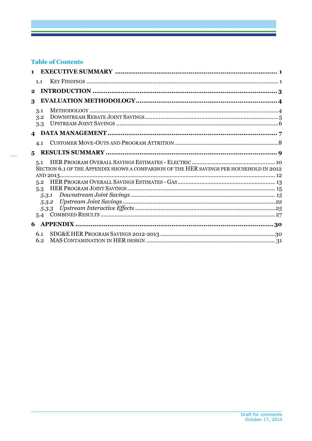### **Table of Contents**

|              | 1.1                                                                                                                 |  |
|--------------|---------------------------------------------------------------------------------------------------------------------|--|
| $\mathbf{2}$ |                                                                                                                     |  |
| 3            |                                                                                                                     |  |
|              | 3.1<br>3.2<br>3.3                                                                                                   |  |
|              |                                                                                                                     |  |
|              | 4.1                                                                                                                 |  |
| 5            |                                                                                                                     |  |
|              |                                                                                                                     |  |
|              | 5.1<br>SECTION 6.1 OF THE APPENDIX SHOWS A COMPARISON OF THE HER SAVINGS PER HOUSEHOLD IN 2012<br>5.2<br>5.3<br>5.4 |  |
| 6            |                                                                                                                     |  |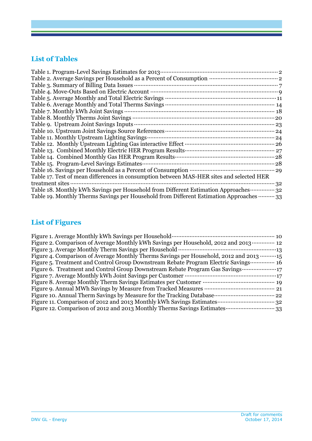# **List of Tables**

| Table 17. Test of mean differences in consumption between MAS-HER sites and selected HER |
|------------------------------------------------------------------------------------------|
|                                                                                          |
| Table 18. Monthly kWh Savings per Household from Different Estimation Approaches 32      |
| Table 19. Monthly Therms Savings per Household from Different Estimation Approaches  33  |
|                                                                                          |

# **List of Figures**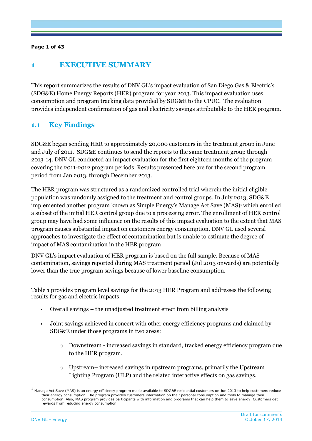#### **Page 1 of 43**

# <span id="page-4-0"></span>**1 EXECUTIVE SUMMARY**

This report summarizes the results of DNV GL's impact evaluation of San Diego Gas & Electric's (SDG&E) Home Energy Reports (HER) program for year 2013. This impact evaluation uses consumption and program tracking data provided by SDG&E to the CPUC. The evaluation provides independent confirmation of gas and electricity savings attributable to the HER program.

# <span id="page-4-1"></span>**1.1 Key Findings**

SDG&E began sending HER to approximately 20,000 customers in the treatment group in June and July of 2011. SDG&E continues to send the reports to the same treatment group through 2013-14. DNV GL conducted an impact evaluation for the first eighteen months of the program covering the 2011-2012 program periods. Results presented here are for the second program period from Jan 2013, through December 2013.

The HER program was structured as a randomized controlled trial wherein the initial eligible population was randomly assigned to the treatment and control groups. In July 2013, SDG&E implemented another program known as Simple Energy's Manage Act Save (MAS)<sup>1</sup> which enrolled a subset of the initial HER control group due to a processing error. The enrollment of HER control group may have had some influence on the results of this impact evaluation to the extent that MAS program causes substantial impact on customers energy consumption. DNV GL used several approaches to investigate the effect of contamination but is unable to estimate the degree of impact of MAS contamination in the HER program

DNV GL's impact evaluation of HER program is based on the full sample. Because of MAS contamination, savings reported during MAS treatment period (Jul 2013 onwards) are potentially lower than the true program savings because of lower baseline consumption.

[Table](#page-5-2) **1** provides program level savings for the 2013 HER Program and addresses the following results for gas and electric impacts:

- Overall savings the unadjusted treatment effect from billing analysis
- Joint savings achieved in concert with other energy efficiency programs and claimed by SDG&E under those programs in two areas:
	- o Downstream increased savings in standard, tracked energy efficiency program due to the HER program.
	- o Upstream– increased savings in upstream programs, primarily the Upstream Lighting Program (ULP) and the related interactive effects on gas savings.

ı

<sup>1</sup> Manage Act Save (MAS) is an energy efficiency program made available to SDG&E residential customers on Jun 2013 to help customers reduce their energy consumption. The program provides customers information on their personal consumption and tools to manage their consumption. Also, MAS program provides participants with information and programs that can help them to save energy. Customers get rewards from reducing energy consumption.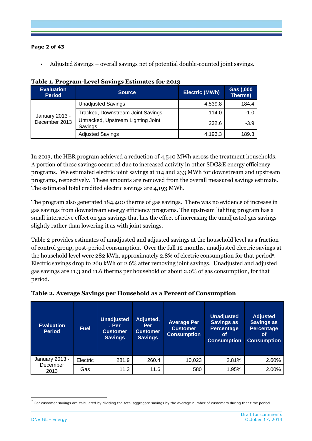#### **Page 2 of 43**

Adjusted Savings – overall savings net of potential double-counted joint savings.

| <b>Evaluation</b><br><b>Period</b> | <b>Source</b>                                 | <b>Electric (MWh)</b> | Gas (,000<br>Therms) |
|------------------------------------|-----------------------------------------------|-----------------------|----------------------|
|                                    | <b>Unadjusted Savings</b>                     | 4,539.8               | 184.4                |
| January 2013 -                     | <b>Tracked, Downstream Joint Savings</b>      | 114.0                 | $-1.0$               |
| December 2013                      | Untracked, Upstream Lighting Joint<br>Savings | 232.6                 | $-3.9$               |
|                                    | <b>Adjusted Savings</b>                       | 4,193.3               | 189.3                |

#### <span id="page-5-2"></span><span id="page-5-0"></span>**Table 1. Program-Level Savings Estimates for 2013**

In 2013, the HER program achieved a reduction of 4,540 MWh across the treatment households. A portion of these savings occurred due to increased activity in other SDG&E energy efficiency programs. We estimated electric joint savings at 114 and 233 MWh for downstream and upstream programs, respectively. These amounts are removed from the overall measured savings estimate. The estimated total credited electric savings are 4,193 MWh.

The program also generated 184,400 therms of gas savings. There was no evidence of increase in gas savings from downstream energy efficiency programs. The upstream lighting program has a small interactive effect on gas savings that has the effect of increasing the unadjusted gas savings slightly rather than lowering it as with joint savings.

[Table 2](#page-5-1) provides estimates of unadjusted and adjusted savings at the household level as a fraction of control group, post-period consumption. Over the full 12 months, unadjusted electric savings at the household level were 282 kWh, approximately 2.8% of electric consumption for that period<sup>2</sup>. Electric savings drop to 260 kWh or 2.6% after removing joint savings. Unadjusted and adjusted gas savings are 11.3 and 11.6 therms per household or about 2.0% of gas consumption, for that period.

| <b>Evaluation</b><br><b>Period</b> | <b>Fuel</b> | <b>Unadjusted</b><br>, Per<br><b>Customer</b><br><b>Savings</b> | Adjusted,<br><b>Per</b><br>Customer<br><b>Savings</b> | <b>Average Per</b><br><b>Customer</b><br><b>Consumption</b> | <b>Unadjusted</b><br><b>Savings as</b><br>Percentage<br>οf<br><b>Consumption</b> | <b>Adjusted</b><br><b>Savings as</b><br><b>Percentage</b><br>Οt<br><b>Consumption</b> |
|------------------------------------|-------------|-----------------------------------------------------------------|-------------------------------------------------------|-------------------------------------------------------------|----------------------------------------------------------------------------------|---------------------------------------------------------------------------------------|
| January 2013 -                     | Electric    | 281.9                                                           | 260.4                                                 | 10,023                                                      | 2.81%                                                                            | 2.60%                                                                                 |
| December<br>2013                   | Gas         | 11.3                                                            | 11.6                                                  | 580                                                         | 1.95%                                                                            | 2.00%                                                                                 |

#### <span id="page-5-1"></span>**Table 2. Average Savings per Household as a Percent of Consumption**

1

 $^2$  Per customer savings are calculated by dividing the total aggregate savings by the average number of customers during that time period.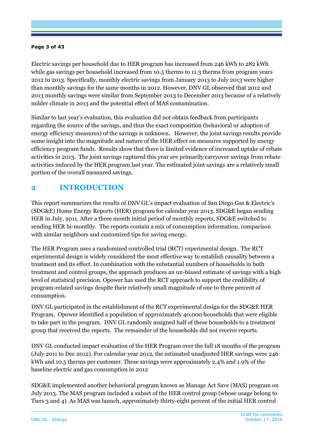#### **Page 3 of 43**

Electric savings per household due to HER program has increased from 246 kWh to 282 kWh while gas savings per household increased from 10.5 therms to 11.3 therms from program years 2012 to 2013. Specifically, monthly electric savings from January 2013 to July 2013 were higher than monthly savings for the same months in 2012. However, DNV GL observed that 2012 and 2013 monthly savings were similar from September 2013 to December 2013 because of a relatively milder climate in 2013 and the potential effect of MAS contamination.

Similar to last year's evaluation, this evaluation did not obtain feedback from participants regarding the source of the savings, and thus the exact composition (behavioral or adoption of energy efficiency measures) of the savings is unknown. However, the joint savings results provide some insight into the magnitude and nature of the HER effect on measures supported by energy efficiency program funds. Results show that there is limited evidence of increased uptake of rebate activities in 2013. The joint savings captured this year are primarily carryover savings from rebate activities induced by the HER program last year. The estimated joint savings are a relatively small portion of the overall measured savings.

# <span id="page-6-0"></span>**2 INTRODUCTION**

This report summarizes the results of DNV GL's impact evaluation of San Diego Gas & Electric's (SDG&E) Home Energy Reports (HER) program for calendar year 2013. SDG&E began sending HER in July, 2011. After a three month initial period of monthly reports, SDG&E switched to sending HER bi-monthly. The reports contain a mix of consumption information, comparison with similar neighbors and customized tips for saving energy.

The HER Program uses a randomized controlled trial (RCT) experimental design. The RCT experimental design is widely considered the most effective way to establish causality between a treatment and its effect. In combination with the substantial numbers of households in both treatment and control groups, the approach produces an un-biased estimate of savings with a high level of statistical precision. Opower has used the RCT approach to support the credibility of program-related savings despite their relatively small magnitude of one to three percent of consumption.

DNV GL participated in the establishment of the RCT experimental design for the SDG&E HER Program. Opower identified a population of approximately 40,000 households that were eligible to take part in the program. DNV GL randomly assigned half of these households to a treatment group that received the reports. The remainder of the households did not receive reports.

DNV GL conducted impact evaluation of the HER Program over the full 18 months of the program (July 2011 to Dec 2012). For calendar year 2012, the estimated unadjusted HER savings were 246 kWh and 10.5 therms per customer. These savings were approximately 2.4% and 1.9% of the baseline electric and gas consumption in 2012

SDG&E implemented another behavioral program known as Manage Act Save (MAS) program on July 2013. The MAS program included a subset of the HER control group (whose usage belong to Tiers 3 and 4). As MAS was launch, approximately thirty-eight percent of the initial HER control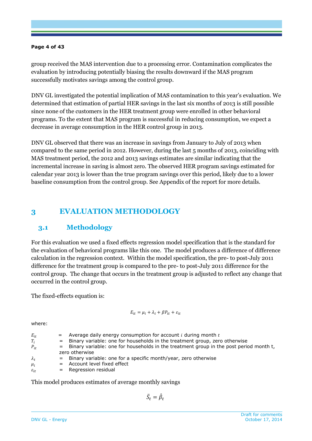#### **Page 4 of 43**

group received the MAS intervention due to a processing error. Contamination complicates the evaluation by introducing potentially biasing the results downward if the MAS program successfully motivates savings among the control group.

DNV GL investigated the potential implication of MAS contamination to this year's evaluation. We determined that estimation of partial HER savings in the last six months of 2013 is still possible since none of the customers in the HER treatment group were enrolled in other behavioral programs. To the extent that MAS program is successful in reducing consumption, we expect a decrease in average consumption in the HER control group in 2013.

DNV GL observed that there was an increase in savings from January to July of 2013 when compared to the same period in 2012. However, during the last 5 months of 2013, coinciding with MAS treatment period, the 2012 and 2013 savings estimates are similar indicating that the incremental increase in saving is almost zero. The observed HER program savings estimated for calendar year 2013 is lower than the true program savings over this period, likely due to a lower baseline consumption from the control group. See Appendix of the report for more details.

# <span id="page-7-0"></span>**3 EVALUATION METHODOLOGY**

# <span id="page-7-1"></span>**3.1 Methodology**

For this evaluation we used a fixed effects regression model specification that is the standard for the evaluation of behavioral programs like this one. The model produces a difference of difference calculation in the regression context. Within the model specification, the pre- to post-July 2011 difference for the treatment group is compared to the pre- to post-July 2011 difference for the control group. The change that occurs in the treatment group is adjusted to reflect any change that occurred in the control group.

The fixed-effects equation is:

$$
E_{it} = \mu_i + \lambda_t + \beta P_{it} + \varepsilon_{it}
$$

where:

| $E_{it}$<br>$T_i$  | $=$ Average daily energy consumption for account i during month t<br>$=$ Binary variable: one for households in the treatment group, zero otherwise |
|--------------------|-----------------------------------------------------------------------------------------------------------------------------------------------------|
| $P_{it}$           | $=$ Binary variable: one for households in the treatment group in the post period month t,                                                          |
|                    | zero otherwise                                                                                                                                      |
| $\lambda_t$        | $=$ Binary variable: one for a specific month/year, zero otherwise                                                                                  |
| $\mu_i$            | $=$ Account level fixed effect                                                                                                                      |
| $\varepsilon_{it}$ | $=$ Regression residual                                                                                                                             |

This model produces estimates of average monthly savings

$$
\bar{S}_t = \hat{\beta}_t
$$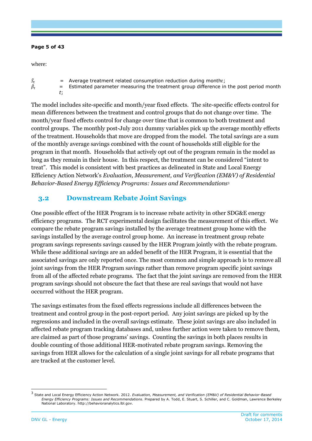#### **Page 5 of 43**

where:

 $\hat{\beta}_t$ 

- $\bar{S}_t$  $=$  Average treatment related consumption reduction during montht;
	- = Estimated parameter measuring the treatment group difference in the post period month *t*;

The model includes site-specific and month/year fixed effects. The site-specific effects control for mean differences between the treatment and control groups that do not change over time. The month/year fixed effects control for change over time that is common to both treatment and control groups. The monthly post-July 2011 dummy variables pick up the average monthly effects of the treatment. Households that move are dropped from the model. The total savings are a sum of the monthly average savings combined with the count of households still eligible for the program in that month. Households that actively opt out of the program remain in the model as long as they remain in their house. In this respect, the treatment can be considered "intent to treat". This model is consistent with best practices as delineated in State and Local Energy Efficiency Action Network's *Evaluation, Measurement, and Verification (EM&V) of Residential Behavior-Based Energy Efficiency Programs: Issues and Recommendations*<sup>3</sup>

### <span id="page-8-0"></span>**3.2 Downstream Rebate Joint Savings**

One possible effect of the HER Program is to increase rebate activity in other SDG&E energy efficiency programs. The RCT experimental design facilitates the measurement of this effect. We compare the rebate program savings installed by the average treatment group home with the savings installed by the average control group home. An increase in treatment group rebate program savings represents savings caused by the HER Program jointly with the rebate program. While these additional savings are an added benefit of the HER Program, it is essential that the associated savings are only reported once. The most common and simple approach is to remove all joint savings from the HER Program savings rather than remove program specific joint savings from all of the affected rebate programs. The fact that the joint savings are removed from the HER program savings should not obscure the fact that these are real savings that would not have occurred without the HER program.

The savings estimates from the fixed effects regressions include all differences between the treatment and control group in the post-report period. Any joint savings are picked up by the regressions and included in the overall savings estimate. These joint savings are also included in affected rebate program tracking databases and, unless further action were taken to remove them, are claimed as part of those programs' savings. Counting the savings in both places results in double counting of those additional HER-motivated rebate program savings. Removing the savings from HER allows for the calculation of a single joint savings for all rebate programs that are tracked at the customer level.

ı

<sup>3</sup> State and Local Energy Efficiency Action Network. 2012. *Evaluation, Measurement, and Verification (EM&V) of Residential Behavior-Based Energy Efficiency Programs: Issues and Recommendations*. Prepared by A. Todd, E. Stuart, S. Schiller, and C. Goldman, Lawrence Berkeley National Laboratory. http://behavioranalytics.lbl.gov.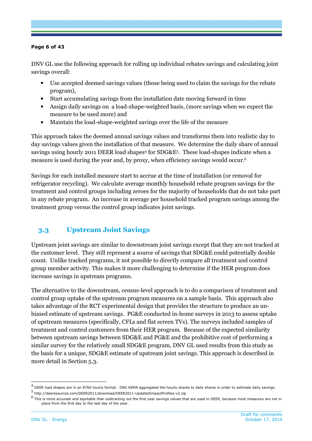#### **Page 6 of 43**

DNV GL use the following approach for rolling up individual rebates savings and calculating joint savings overall:

- Use accepted deemed savings values (those being used to claim the savings for the rebate program),
- Start accumulating savings from the installation date moving forward in time
- Assign daily savings on a load-shape-weighted basis, (more savings when we expect the measure to be used more) and
- Maintain the load-shape-weighted savings over the life of the measure

This approach takes the deemed annual savings values and transforms them into realistic day to day savings values given the installation of that measure. We determine the daily share of annual savings using hourly 2011 DEER load shapes 4 for SDG&E<sup>5</sup> . These load-shapes indicate when a measure is used during the year and, by proxy, when efficiency savings would occur.<sup>6</sup>

Savings for each installed measure start to accrue at the time of installation (or removal for refrigerator recycling). We calculate average monthly household rebate program savings for the treatment and control groups including zeroes for the majority of households that do not take part in any rebate program. An increase in average per household tracked program savings among the treatment group versus the control group indicates joint savings.

# <span id="page-9-0"></span>**3.3 Upstream Joint Savings**

Upstream joint savings are similar to downstream joint savings except that they are not tracked at the customer level. They still represent a source of savings that SDG&E could potentially double count. Unlike tracked programs, it not possible to directly compare all treatment and control group member activity. This makes it more challenging to determine if the HER program does increase savings in upstream programs.

The alternative to the downstream, census-level approach is to do a comparison of treatment and control group uptake of the upstream program measures on a sample basis. This approach also takes advantage of the RCT experimental design that provides the structure to produce an unbiased estimate of upstream savings. PG&E conducted in-home surveys in 2013 to assess uptake of upstream measures (specifically, CFLs and flat screen TVs). The surveys included samples of treatment and control customers from their HER program. Because of the expected similarity between upstream savings between SDG&E and PG&E and the prohibitive cost of performing a similar survey for the relatively small SDG&E program, DNV GL used results from this study as the basis for a unique, SDG&E estimate of upstream joint savings. This approach is described in more detail in Section 5.3.

ı

 $^4$  DEER load shapes are in an 8760 hourly format. DNV KEMA aggregated the hourly shares to daily shares in order to estimate daily savings. 5 http://deeresources.com/DEER2011/download/DEER2011-UpdatedImpactProfiles-v2.zip

 $^6$  This is more accurate and equitable than subtracting out the first year savings values that are used in DEER, because most measures are not in place from the first day to the last day of the year.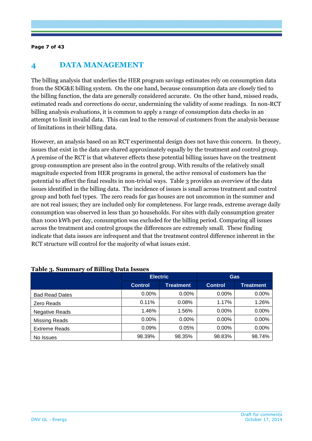#### **Page 7 of 43**

# <span id="page-10-0"></span>**4 DATA MANAGEMENT**

The billing analysis that underlies the HER program savings estimates rely on consumption data from the SDG&E billing system. On the one hand, because consumption data are closely tied to the billing function, the data are generally considered accurate. On the other hand, missed reads, estimated reads and corrections do occur, undermining the validity of some readings. In non-RCT billing analysis evaluations, it is common to apply a range of consumption data checks in an attempt to limit invalid data. This can lead to the removal of customers from the analysis because of limitations in their billing data.

However, an analysis based on an RCT experimental design does not have this concern. In theory, issues that exist in the data are shared approximately equally by the treatment and control group. A premise of the RCT is that whatever effects these potential billing issues have on the treatment group consumption are present also in the control group. With results of the relatively small magnitude expected from HER programs in general, the active removal of customers has the potential to affect the final results in non-trivial ways. [Table 3](#page-10-1) provides an overview of the data issues identified in the billing data. The incidence of issues is small across treatment and control group and both fuel types. The zero reads for gas houses are not uncommon in the summer and are not real issues; they are included only for completeness. For large reads, extreme average daily consumption was observed in less than 30 households. For sites with daily consumption greater than 1000 kWh per day, consumption was excluded for the billing period. Comparing all issues across the treatment and control groups the differences are extremely small. These finding indicate that data issues are infrequent and that the treatment control difference inherent in the RCT structure will control for the majority of what issues exist.

| $\cdot$<br>. .        | <b>Electric</b> |           | <b>Gas</b>     |                  |
|-----------------------|-----------------|-----------|----------------|------------------|
|                       | <b>Control</b>  | Treatment | <b>Control</b> | <b>Treatment</b> |
| <b>Bad Read Dates</b> | 0.00%           | $0.00\%$  | $0.00\%$       | 0.00%            |
| Zero Reads            | 0.11%           | 0.08%     | 1.17%          | 1.26%            |
| <b>Negative Reads</b> | 1.46%           | 1.56%     | $0.00\%$       | 0.00%            |
| <b>Missing Reads</b>  | $0.00\%$        | 0.00%     | $0.00\%$       | 0.00%            |
| <b>Extreme Reads</b>  | 0.09%           | 0.05%     | $0.00\%$       | 0.00%            |
| No Issues             | 98.39%          | 98.35%    | 98.83%         | 98.74%           |

#### <span id="page-10-1"></span>**Table 3. Summary of Billing Data Issues**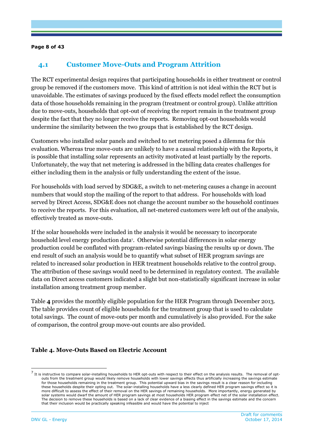#### **Page 8 of 43**

### <span id="page-11-0"></span>**4.1 Customer Move-Outs and Program Attrition**

The RCT experimental design requires that participating households in either treatment or control group be removed if the customers move. This kind of attrition is not ideal within the RCT but is unavoidable. The estimates of savings produced by the fixed effects model reflect the consumption data of those households remaining in the program (treatment or control group). Unlike attrition due to move-outs, households that opt-out of receiving the report remain in the treatment group despite the fact that they no longer receive the reports. Removing opt-out households would undermine the similarity between the two groups that is established by the RCT design.

Customers who installed solar panels and switched to net metering posed a dilemma for this evaluation. Whereas true move-outs are unlikely to have a causal relationship with the Reports, it is possible that installing solar represents an activity motivated at least partially by the reports. Unfortunately, the way that net metering is addressed in the billing data creates challenges for either including them in the analysis or fully understanding the extent of the issue.

For households with load served by SDG&E, a switch to net-metering causes a change in account numbers that would stop the mailing of the report to that address. For households with load served by Direct Access, SDG&E does not change the account number so the household continues to receive the reports. For this evaluation, all net-metered customers were left out of the analysis, effectively treated as move-outs.

If the solar households were included in the analysis it would be necessary to incorporate household level energy production data<sup>7</sup>. Otherwise potential differences in solar energy production could be conflated with program-related savings biasing the results up or down. The end result of such an analysis would be to quantify what subset of HER program savings are related to increased solar production in HER treatment households relative to the control group. The attribution of these savings would need to be determined in regulatory context. The available data on Direct access customers indicated a slight but non-statistically significant increase in solar installation among treatment group member.

[Table](#page-11-1) **4** provides the monthly eligible population for the HER Program through December 2013. The table provides count of eligible households for the treatment group that is used to calculate total savings. The count of move-outs per month and cumulatively is also provided. For the sake of comparison, the control group move-out counts are also provided.

#### <span id="page-11-1"></span>**Table 4. Move-Outs Based on Electric Account**

ı

 $^7$  It is instructive to compare solar-installing households to HER opt-outs with respect to their effect on the analysis results. The removal of optouts from the treatment group would likely remove households with lower savings effects thus artificially increasing the savings estimate for those households remaining in the treatment group. This potential upward bias in the savings result is a clear reason for including these households despite their opting out. The solar-installing households have a less clearly defined HER program savings effect so it is more difficult to assess the effect of their removal on the HER savings of remaining households. More importantly, energy generated by solar systems would dwarf the amount of HER program savings at most households HER program effect net of the solar installation effect. The decision to remove these households is based on a lack of clear evidence of a biasing effect in the savings estimate and the concern that their inclusion would be practically speaking infeasible and would have the potential to inject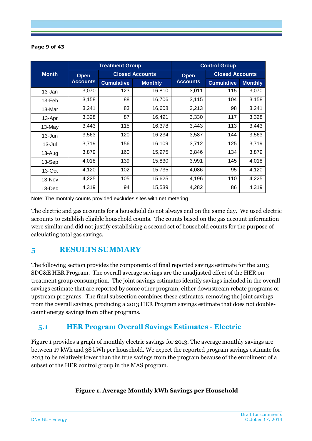#### **Page 9 of 43**

|              | <b>Treatment Group</b> |                        |                | <b>Control Group</b> |                        |                |
|--------------|------------------------|------------------------|----------------|----------------------|------------------------|----------------|
| <b>Month</b> | <b>Open</b>            | <b>Closed Accounts</b> |                | Open                 | <b>Closed Accounts</b> |                |
|              | <b>Accounts</b>        | <b>Cumulative</b>      | <b>Monthly</b> | <b>Accounts</b>      | <b>Cumulative</b>      | <b>Monthly</b> |
| 13-Jan       | 3,070                  | 123                    | 16,810         | 3,011                | 115                    | 3,070          |
| 13-Feb       | 3,158                  | 88                     | 16,706         | 3,115                | 104                    | 3,158          |
| 13-Mar       | 3,241                  | 83                     | 16,608         | 3,213                | 98                     | 3,241          |
| 13-Apr       | 3,328                  | 87                     | 16,491         | 3,330                | 117                    | 3,328          |
| $13$ -May    | 3,443                  | 115                    | 16,378         | 3,443                | 113                    | 3,443          |
| $13 - Jun$   | 3,563                  | 120                    | 16,234         | 3,587                | 144                    | 3,563          |
| 13-Jul       | 3,719                  | 156                    | 16,109         | 3,712                | 125                    | 3,719          |
| $13 - Aug$   | 3,879                  | 160                    | 15,975         | 3,846                | 134                    | 3,879          |
| 13-Sep       | 4,018                  | 139                    | 15,830         | 3,991                | 145                    | 4,018          |
| 13-Oct       | 4,120                  | 102                    | 15,735         | 4,086                | 95                     | 4,120          |
| 13-Nov       | 4,225                  | 105                    | 15,625         | 4,196                | 110                    | 4,225          |
| 13-Dec       | 4,319                  | 94                     | 15,539         | 4,282                | 86                     | 4,319          |

Note: The monthly counts provided excludes sites with net metering

The electric and gas accounts for a household do not always end on the same day. We used electric accounts to establish eligible household counts. The counts based on the gas account information were similar and did not justify establishing a second set of household counts for the purpose of calculating total gas savings.

# <span id="page-12-0"></span>**5 RESULTS SUMMARY**

The following section provides the components of final reported savings estimate for the 2013 SDG&E HER Program. The overall average savings are the unadjusted effect of the HER on treatment group consumption. The joint savings estimates identify savings included in the overall savings estimate that are reported by some other program, either downstream rebate programs or upstream programs. The final subsection combines these estimates, removing the joint savings from the overall savings, producing a 2013 HER Program savings estimate that does not doublecount energy savings from other programs.

# <span id="page-12-1"></span>**5.1 HER Program Overall Savings Estimates - Electric**

[Figure 1](#page-12-2) provides a graph of monthly electric savings for 2013. The average monthly savings are between 17 kWh and 38 kWh per household. We expect the reported program savings estimate for 2013 to be relatively lower than the true savings from the program because of the enrollment of a subset of the HER control group in the MAS program.

#### <span id="page-12-2"></span>**Figure 1. Average Monthly kWh Savings per Household**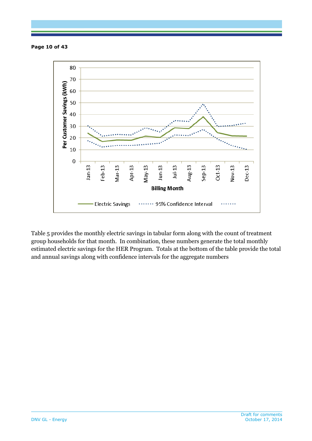**Page 10 of 43**



[Table 5](#page-14-0) provides the monthly electric savings in tabular form along with the count of treatment group households for that month. In combination, these numbers generate the total monthly estimated electric savings for the HER Program. Totals at the bottom of the table provide the total and annual savings along with confidence intervals for the aggregate numbers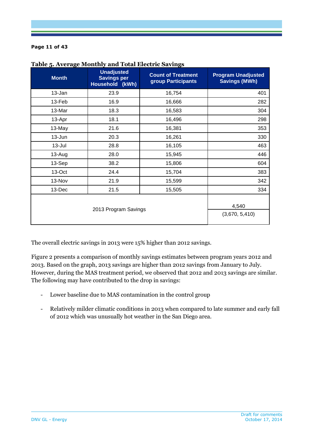#### **Page 11 of 43**

| <b>Month</b> | <b>Unadjusted</b><br><b>Savings per</b><br>Household (kWh) | <b>Count of Treatment</b><br>group Participants | <b>Program Unadjusted</b><br><b>Savings (MWh)</b> |
|--------------|------------------------------------------------------------|-------------------------------------------------|---------------------------------------------------|
| 13-Jan       | 23.9                                                       | 16,754                                          | 401                                               |
| 13-Feb       | 16.9                                                       | 16,666                                          | 282                                               |
| 13-Mar       | 18.3                                                       | 16,583                                          | 304                                               |
| 13-Apr       | 18.1                                                       | 16,496                                          | 298                                               |
| 13-May       | 21.6                                                       | 16,381                                          | 353                                               |
| 13-Jun       | 20.3                                                       | 16,261                                          | 330                                               |
| $13 -$ Jul   | 28.8                                                       | 16,105                                          | 463                                               |
| $13-Auq$     | 28.0                                                       | 15,945                                          | 446                                               |
| 13-Sep       | 38.2                                                       | 15,806                                          | 604                                               |
| 13-Oct       | 24.4                                                       | 15,704                                          | 383                                               |
| 13-Nov       | 21.9                                                       | 15,599                                          | 342                                               |
| 13-Dec       | 21.5                                                       | 15,505                                          | 334                                               |
|              | 4,540<br>(3,670, 5,410)                                    |                                                 |                                                   |

#### <span id="page-14-0"></span>**Table 5. Average Monthly and Total Electric Savings**

The overall electric savings in 2013 were 15% higher than 2012 savings.

[Figure](#page-15-2) 2 presents a comparison of monthly savings estimates between program years 2012 and 2013. Based on the graph, 2013 savings are higher than 2012 savings from January to July. However, during the MAS treatment period, we observed that 2012 and 2013 savings are similar. The following may have contributed to the drop in savings:

- Lower baseline due to MAS contamination in the control group
- Relatively milder climatic conditions in 2013 when compared to late summer and early fall of 2012 which was unusually hot weather in the San Diego area.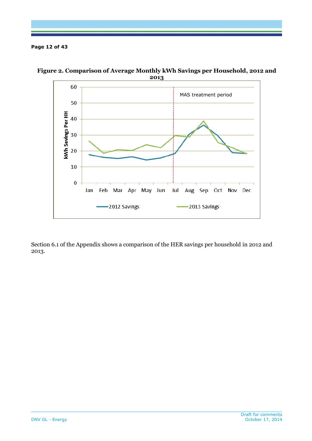



<span id="page-15-2"></span><span id="page-15-1"></span>

<span id="page-15-0"></span>Section 6.1 of the Appendix shows a comparison of the HER savings per household in 2012 and 2013.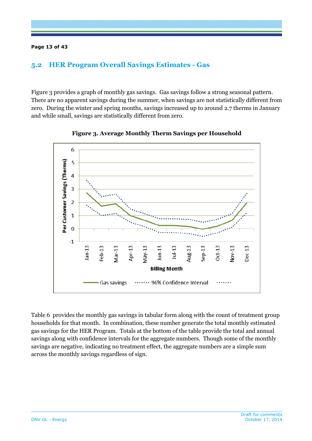#### **Page 13 of 43**

# <span id="page-16-0"></span>**5.2 HER Program Overall Savings Estimates - Gas**

[Figure 3](#page-16-2) provides a graph of monthly gas savings. Gas savings follow a strong seasonal pattern. There are no apparent savings during the summer, when savings are not statistically different from zero. During the winter and spring months, savings increased up to around 2.7 therms in January and while small, savings are statistically different from zero.

<span id="page-16-2"></span><span id="page-16-1"></span>

**Figure 3. Average Monthly Therm Savings per Household**

[Table 6](#page-17-0) provides the monthly gas savings in tabular form along with the count of treatment group households for that month. In combination, these number generate the total monthly estimated gas savings for the HER Program. Totals at the bottom of the table provide the total and annual savings along with confidence intervals for the aggregate numbers. Though some of the monthly savings are negative, indicating no treatment effect, the aggregate numbers are a simple sum across the monthly savings regardless of sign.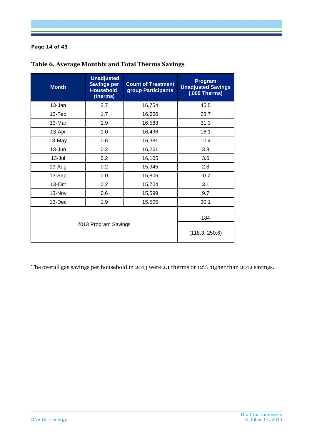#### **Page 14 of 43**

| <b>Month</b>         | <b>Unadjusted</b><br><b>Savings per</b><br><b>Household</b><br>(therms) | <b>Count of Treatment</b><br>group Participants | Program<br><b>Unadjusted Savings</b><br>(,000 Therms) |
|----------------------|-------------------------------------------------------------------------|-------------------------------------------------|-------------------------------------------------------|
| 13-Jan               | 2.7                                                                     | 16,754                                          | 45.5                                                  |
| 13-Feb               | 1.7                                                                     | 16,666                                          | 28.7                                                  |
| 13-Mar               | 1.9                                                                     | 16,583                                          | 31.3                                                  |
| 13-Apr               | 1.0                                                                     | 16,496                                          | 16.1                                                  |
| 13-May               | 0.6                                                                     | 16,381                                          | 10.4                                                  |
| 13-Jun               | 0.2                                                                     | 16,261                                          | 3.8                                                   |
| 13-Jul               | 0.2                                                                     | 16,105                                          | 3.6                                                   |
| 13-Aug               | 0.2                                                                     | 15,945                                          | 2.8                                                   |
| 13-Sep               | 0.0                                                                     | 15,806                                          | $-0.7$                                                |
| 13-Oct               | 0.2                                                                     | 15,704                                          | 3.1                                                   |
| 13-Nov               | 0.6                                                                     | 15,599                                          | 9.7                                                   |
| 13-Dec               | 1.9                                                                     | 15,505                                          | 30.1                                                  |
| 2013 Program Savings | 184                                                                     |                                                 |                                                       |
|                      | (118.3, 250.6)                                                          |                                                 |                                                       |

### <span id="page-17-0"></span>**Table 6. Average Monthly and Total Therms Savings**

The overall gas savings per household in 2013 were 2.1 therms or 12% higher than 2012 savings.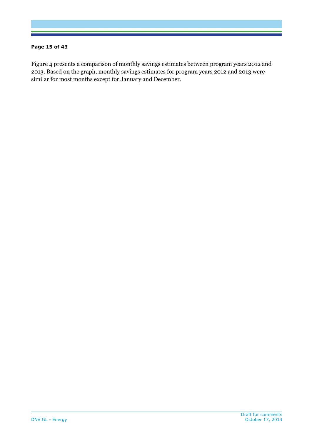#### **Page 15 of 43**

<span id="page-18-0"></span>[Figure](#page-18-0) 4 presents a comparison of monthly savings estimates between program years 2012 and 2013. Based on the graph, monthly savings estimates for program years 2012 and 2013 were similar for most months except for January and December.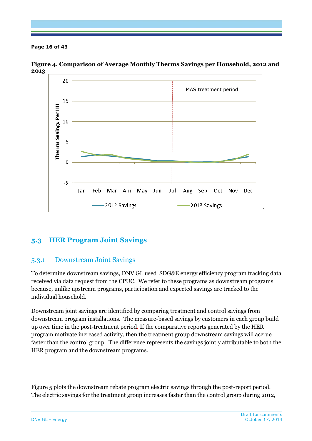



<span id="page-19-2"></span>**Figure 4. Comparison of Average Monthly Therms Savings per Household, 2012 and 2013**

# <span id="page-19-0"></span>**5.3 HER Program Joint Savings**

# <span id="page-19-1"></span>5.3.1 Downstream Joint Savings

To determine downstream savings, DNV GL used SDG&E energy efficiency program tracking data received via data request from the CPUC. We refer to these programs as downstream programs because, unlike upstream programs, participation and expected savings are tracked to the individual household.

Downstream joint savings are identified by comparing treatment and control savings from downstream program installations. The measure-based savings by customers in each group build up over time in the post-treatment period. If the comparative reports generated by the HER program motivate increased activity, then the treatment group downstream savings will accrue faster than the control group. The difference represents the savings jointly attributable to both the HER program and the downstream programs.

[Figure 5](#page-21-0) plots the downstream rebate program electric savings through the post-report period. The electric savings for the treatment group increases faster than the control group during 2012,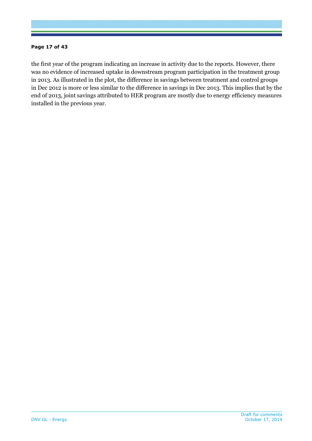#### **Page 17 of 43**

the first year of the program indicating an increase in activity due to the reports. However, there was no evidence of increased uptake in downstream program participation in the treatment group in 2013. As illustrated in the plot, the difference in savings between treatment and control groups in Dec 2012 is more or less similar to the difference in savings in Dec 2013. This implies that by the end of 2013, joint savings attributed to HER program are mostly due to energy efficiency measures installed in the previous year.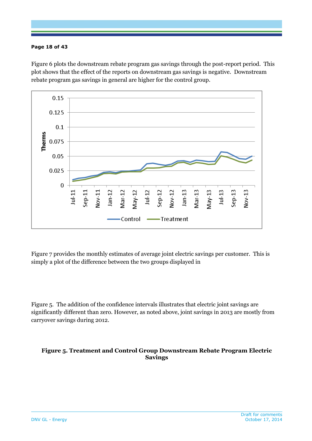#### **Page 18 of 43**

[Figure 6](#page-22-0) plots the downstream rebate program gas savings through the post-report period. This plot shows that the effect of the reports on downstream gas savings is negative. Downstream rebate program gas savings in general are higher for the control group.



[Figure 7](#page-23-2) provides the monthly estimates of average joint electric savings per customer. This is simply a plot of the difference between the two groups displayed in

[Figure](#page-21-0) 5. The addition of the confidence intervals illustrates that electric joint savings are significantly different than zero. However, as noted above, joint savings in 2013 are mostly from carryover savings during 2012.

#### <span id="page-21-0"></span>**Figure 5. Treatment and Control Group Downstream Rebate Program Electric Savings**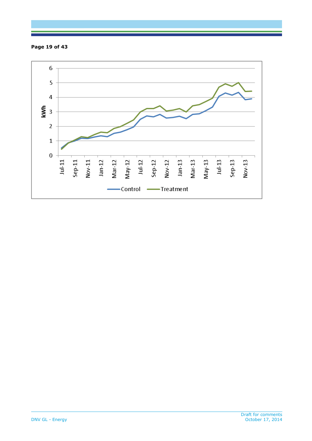

<span id="page-22-0"></span>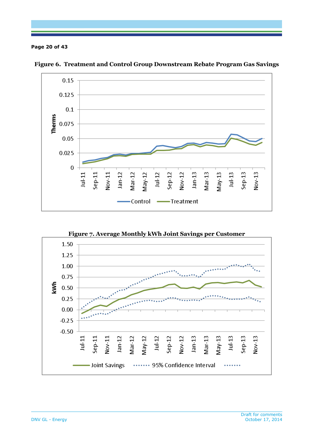

<span id="page-23-2"></span>

<span id="page-23-0"></span>**Figure 6. Treatment and Control Group Downstream Rebate Program Gas Savings**



<span id="page-23-1"></span>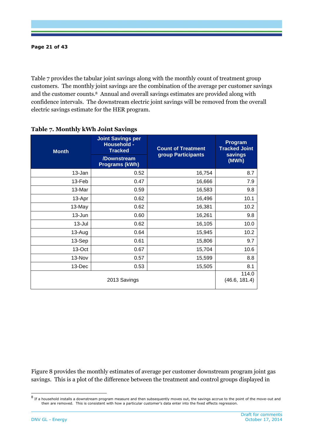#### **Page 21 of 43**

[Table 7](#page-24-0) provides the tabular joint savings along with the monthly count of treatment group customers. The monthly joint savings are the combination of the average per customer savings and the customer counts.8 Annual and overall savings estimates are provided along with confidence intervals. The downstream electric joint savings will be removed from the overall electric savings estimate for the HER program.

| <b>Month</b> | <b>Joint Savings per</b><br>Household -<br><b>Tracked</b><br>/Downstream | <b>Count of Treatment</b><br>group Participants | Program<br><b>Tracked Joint</b><br>savings<br>(MWh) |
|--------------|--------------------------------------------------------------------------|-------------------------------------------------|-----------------------------------------------------|
|              | <b>Programs (kWh)</b>                                                    |                                                 |                                                     |
| 13-Jan       | 0.52                                                                     | 16,754                                          | 8.7                                                 |
| 13-Feb       | 0.47                                                                     | 16,666                                          | 7.9                                                 |
| 13-Mar       | 0.59                                                                     | 16,583                                          | 9.8                                                 |
| 13-Apr       | 0.62                                                                     | 16,496                                          | 10.1                                                |
| 13-May       | 0.62                                                                     | 16,381                                          | 10.2                                                |
| $13 - Jun$   | 0.60                                                                     | 16,261                                          | 9.8                                                 |
| $13 -$ Jul   | 0.62                                                                     | 16,105                                          | 10.0                                                |
| $13-Auq$     | 0.64                                                                     | 15,945                                          | 10.2                                                |
| 13-Sep       | 0.61                                                                     | 15,806                                          | 9.7                                                 |
| 13-Oct       | 0.67                                                                     | 15,704                                          | 10.6                                                |
| 13-Nov       | 0.57                                                                     | 15,599                                          | 8.8                                                 |
| 13-Dec       | 0.53                                                                     | 15,505                                          | 8.1                                                 |
|              | 2013 Savings                                                             |                                                 | 114.0<br>(46.6, 181.4)                              |

#### <span id="page-24-0"></span>**Table 7. Monthly kWh Joint Savings**

[Figure 8](#page-26-1) provides the monthly estimates of average per customer downstream program joint gas savings. This is a plot of the difference between the treatment and control groups displayed in

ı

 $^8$  If a household installs a downstream program measure and then subsequently moves out, the savings accrue to the point of the move-out and then are removed. This is consistent with how a particular customer's data enter into the fixed effects regression.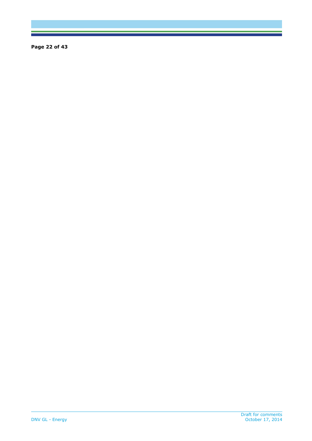**Page 22 of 43**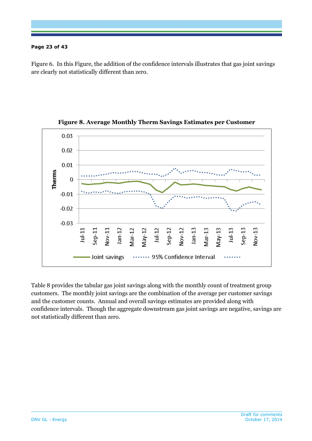#### **Page 23 of 43**

<span id="page-26-1"></span><span id="page-26-0"></span>[Figure 6.](#page-22-0) In this Figure, the addition of the confidence intervals illustrates that gas joint savings are clearly not statistically different than zero.



**Figure 8. Average Monthly Therm Savings Estimates per Customer**

[Table 8](#page-27-0) provides the tabular gas joint savings along with the monthly count of treatment group customers. The monthly joint savings are the combination of the average per customer savings and the customer counts. Annual and overall savings estimates are provided along with confidence intervals. Though the aggregate downstream gas joint savings are negative, savings are not statistically different than zero.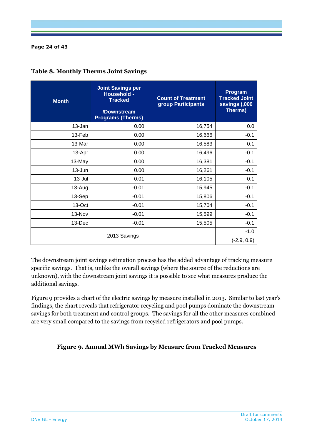#### **Page 24 of 43**

| <b>Month</b> | <b>Joint Savings per</b><br>Household -<br><b>Tracked</b><br>/Downstream<br><b>Programs (Therms)</b> | <b>Count of Treatment</b><br>group Participants | Program<br><b>Tracked Joint</b><br>savings (,000<br>Therms) |
|--------------|------------------------------------------------------------------------------------------------------|-------------------------------------------------|-------------------------------------------------------------|
| 13-Jan       | 0.00                                                                                                 | 16,754                                          | 0.0                                                         |
| 13-Feb       | 0.00                                                                                                 | 16,666                                          | $-0.1$                                                      |
| 13-Mar       | 0.00                                                                                                 | 16,583                                          | $-0.1$                                                      |
| 13-Apr       | 0.00                                                                                                 | 16,496                                          | $-0.1$                                                      |
| 13-May       | 0.00                                                                                                 | 16,381                                          | $-0.1$                                                      |
| 13-Jun       | 0.00                                                                                                 | 16,261                                          | $-0.1$                                                      |
| $13 -$ Jul   | $-0.01$                                                                                              | 16,105                                          | $-0.1$                                                      |
| $13-Auq$     | $-0.01$                                                                                              | 15,945                                          | $-0.1$                                                      |
| 13-Sep       | $-0.01$                                                                                              | 15,806                                          | $-0.1$                                                      |
| 13-Oct       | $-0.01$                                                                                              | 15,704                                          | $-0.1$                                                      |
| 13-Nov       | $-0.01$                                                                                              | 15,599                                          | $-0.1$                                                      |
| 13-Dec       | $-0.01$                                                                                              | 15,505                                          | $-0.1$                                                      |
|              | $-1.0$                                                                                               |                                                 |                                                             |
| 2013 Savings |                                                                                                      |                                                 | $(-2.9, 0.9)$                                               |

### <span id="page-27-0"></span>**Table 8. Monthly Therms Joint Savings**

The downstream joint savings estimation process has the added advantage of tracking measure specific savings. That is, unlike the overall savings (where the source of the reductions are unknown), with the downstream joint savings it is possible to see what measures produce the additional savings.

[Figure 9](#page-27-1) provides a chart of the electric savings by measure installed in 2013. Similar to last year's findings, the chart reveals that refrigerator recycling and pool pumps dominate the downstream savings for both treatment and control groups. The savings for all the other measures combined are very small compared to the savings from recycled refrigerators and pool pumps.

### <span id="page-27-1"></span>**Figure 9. Annual MWh Savings by Measure from Tracked Measures**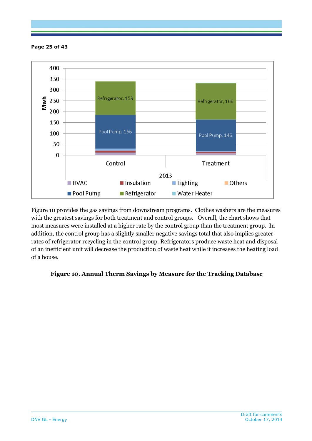



[Figure 10](#page-28-0) provides the gas savings from downstream programs. Clothes washers are the measures with the greatest savings for both treatment and control groups. Overall, the chart shows that most measures were installed at a higher rate by the control group than the treatment group. In addition, the control group has a slightly smaller negative savings total that also implies greater rates of refrigerator recycling in the control group. Refrigerators produce waste heat and disposal of an inefficient unit will decrease the production of waste heat while it increases the heating load of a house.

#### <span id="page-28-0"></span>**Figure 10. Annual Therm Savings by Measure for the Tracking Database**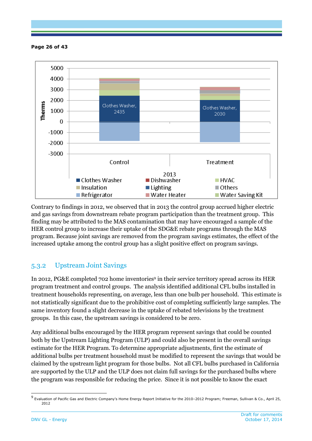**Page 26 of 43**



Contrary to findings in 2012, we observed that in 2013 the control group accrued higher electric and gas savings from downstream rebate program participation than the treatment group. This finding may be attributed to the MAS contamination that may have encouraged a sample of the HER control group to increase their uptake of the SDG&E rebate programs through the MAS program. Because joint savings are removed from the program savings estimates, the effect of the increased uptake among the control group has a slight positive effect on program savings.

# <span id="page-29-0"></span>5.3.2 Upstream Joint Savings

In 2012, PG&E completed 702 home inventories<sup>9</sup> in their service territory spread across its HER program treatment and control groups. The analysis identified additional CFL bulbs installed in treatment households representing, on average, less than one bulb per household. This estimate is not statistically significant due to the prohibitive cost of completing sufficiently large samples. The same inventory found a slight decrease in the uptake of rebated televisions by the treatment groups. In this case, the upstream savings is considered to be zero.

Any additional bulbs encouraged by the HER program represent savings that could be counted both by the Upstream Lighting Program (ULP) and could also be present in the overall savings estimate for the HER Program. To determine appropriate adjustments, first the estimate of additional bulbs per treatment household must be modified to represent the savings that would be claimed by the upstream light program for those bulbs. Not all CFL bulbs purchased in California are supported by the ULP and the ULP does not claim full savings for the purchased bulbs where the program was responsible for reducing the price. Since it is not possible to know the exact

ı

<sup>9</sup> Evaluation of Pacific Gas and Electric Company's Home Energy Report Initiative for the 2010–2012 Program; Freeman, Sullivan & Co., April 25, 2012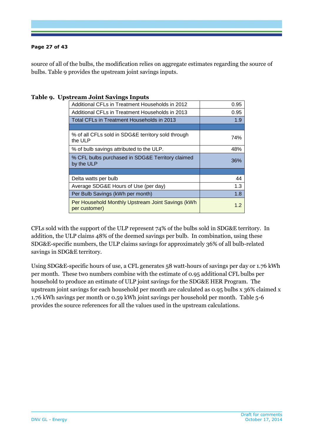#### **Page 27 of 43**

source of all of the bulbs, the modification relies on aggregate estimates regarding the source of bulbs[. Table 9](#page-30-0) provides the upstream joint savings inputs.

| 0.95             |
|------------------|
| 0.95             |
| 1.9              |
|                  |
| 74%              |
| 48%              |
| 36%              |
|                  |
| 44               |
| 1.3              |
| 1.8              |
| 1.2 <sub>2</sub> |
|                  |

<span id="page-30-0"></span>**Table 9. Upstream Joint Savings Inputs**

CFLs sold with the support of the ULP represent 74% of the bulbs sold in SDG&E territory. In addition, the ULP claims 48% of the deemed savings per bulb. In combination, using these SDG&E-specific numbers, the ULP claims savings for approximately 36% of all bulb-related savings in SDG&E territory.

Using SDG&E-specific hours of use, a CFL generates 58 watt-hours of savings per day or 1.76 kWh per month. These two numbers combine with the estimate of 0.95 additional CFL bulbs per household to produce an estimate of ULP joint savings for the SDG&E HER Program. The upstream joint savings for each household per month are calculated as 0.95 bulbs x 36% claimed x 1.76 kWh savings per month or 0.59 kWh joint savings per household per month. Table 5-6 provides the source references for all the values used in the upstream calculations.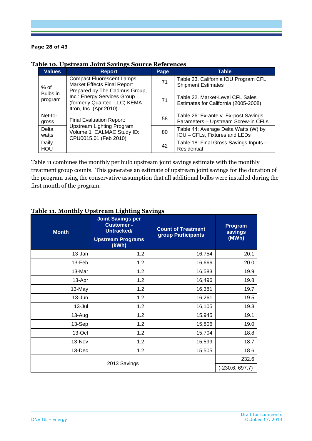#### **Page 28 of 43**

|                     | <b>Values</b>                                                                                                          | <b>Report</b>                                                                          | Page                                                                     | <b>Table</b>                                                                |
|---------------------|------------------------------------------------------------------------------------------------------------------------|----------------------------------------------------------------------------------------|--------------------------------------------------------------------------|-----------------------------------------------------------------------------|
|                     | $%$ of                                                                                                                 | <b>Compact Fluorescent Lamps</b><br>Market Effects Final Report                        | 71                                                                       | Table 23. California IOU Program CFL<br><b>Shipment Estimates</b>           |
| Bulbs in<br>program | Prepared by The Cadmus Group,<br>Inc.: Energy Services Group<br>(formerly Quantec, LLC) KEMA<br>Itron, Inc. (Apr 2010) | 71                                                                                     | Table 22. Market-Level CFL Sales<br>Estimates for California (2005-2008) |                                                                             |
|                     | Net-to-<br>gross                                                                                                       | <b>Final Evaluation Report:</b>                                                        | 58                                                                       | Table 26: Ex-ante v. Ex-post Savings<br>Parameters - Upstream Screw-in CFLs |
|                     | Delta<br>watts                                                                                                         | <b>Upstream Lighting Program</b><br>Volume 1 CALMAC Study ID:<br>CPU0015.01 (Feb 2010) | 80                                                                       | Table 44: Average Delta Watts (W) by<br>IOU - CFLs, Fixtures and LEDs       |
|                     | Daily<br>HOU                                                                                                           |                                                                                        | 42                                                                       | Table 18: Final Gross Savings Inputs -<br>Residential                       |

#### <span id="page-31-0"></span>**Table 10. Upstream Joint Savings Source References**

Table 11 combines the monthly per bulb upstream joint savings estimate with the monthly treatment group counts. This generates an estimate of upstream joint savings for the duration of the program using the conservative assumption that all additional bulbs were installed during the first month of the program.

| <b>Month</b> | <b>Joint Savings per</b><br><b>Customer -</b><br>Untracked/<br><b>Upstream Programs</b><br>(kWh) | <b>Count of Treatment</b><br>group Participants | Program<br>savings<br>(MWh) |
|--------------|--------------------------------------------------------------------------------------------------|-------------------------------------------------|-----------------------------|
| 13-Jan       | 1.2                                                                                              | 16,754                                          | 20.1                        |
| 13-Feb       | 1.2                                                                                              | 16,666                                          | 20.0                        |
| 13-Mar       | 1.2                                                                                              | 16,583                                          | 19.9                        |
| 13-Apr       | 1.2                                                                                              | 16,496                                          | 19.8                        |
| 13-May       | 1.2                                                                                              | 16,381                                          | 19.7                        |
| $13 - Jun$   | 1.2                                                                                              | 16,261                                          | 19.5                        |
| $13 -$ Jul   | 1.2                                                                                              | 16,105                                          | 19.3                        |
| $13-Au$ g    | 1.2                                                                                              | 15,945                                          | 19.1                        |
| 13-Sep       | 1.2                                                                                              | 15,806                                          | 19.0                        |
| 13-Oct       | 1.2                                                                                              | 15,704                                          | 18.8                        |
| 13-Nov       | 1.2                                                                                              | 15,599                                          | 18.7                        |
| 13-Dec       | 1.2                                                                                              | 15,505                                          | 18.6                        |
|              | 232.6                                                                                            |                                                 |                             |
|              | $(-230.6, 697.7)$                                                                                |                                                 |                             |

#### <span id="page-31-1"></span>**Table 11. Monthly Upstream Lighting Savings**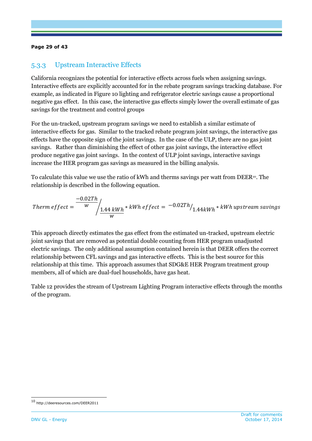#### **Page 29 of 43**

### <span id="page-32-0"></span>5.3.3 Upstream Interactive Effects

California recognizes the potential for interactive effects across fuels when assigning savings. Interactive effects are explicitly accounted for in the rebate program savings tracking database. For example, as indicated in [Figure](#page-28-0) 10 lighting and refrigerator electric savings cause a proportional negative gas effect. In this case, the interactive gas effects simply lower the overall estimate of gas savings for the treatment and control groups

For the un-tracked, upstream program savings we need to establish a similar estimate of interactive effects for gas. Similar to the tracked rebate program joint savings, the interactive gas effects have the opposite sign of the joint savings. In the case of the ULP, there are no gas joint savings. Rather than diminishing the effect of other gas joint savings, the interactive effect produce negative gas joint savings. In the context of ULP joint savings, interactive savings increase the HER program gas savings as measured in the billing analysis.

To calculate this value we use the ratio of kWh and therms savings per watt from DEER<sup>10</sup>. The relationship is described in the following equation.

$$
Therm\,effect=\frac{-0.02Th}{w}\Bigg/_{\textbf{1.44\,kWh}^{*}}\times\normalsize{kWh\,effect}=-0.02Th/_{\textbf{1.44kWh}}\times\normalsize{kWh\,upstream\,saving}
$$

This approach directly estimates the gas effect from the estimated un-tracked, upstream electric joint savings that are removed as potential double counting from HER program unadjusted electric savings. The only additional assumption contained herein is that DEER offers the correct relationship between CFL savings and gas interactive effects. This is the best source for this relationship at this time. This approach assumes that SDG&E HER Program treatment group members, all of which are dual-fuel households, have gas heat.

[Table 12](#page-33-0) provides the stream of Upstream Lighting Program interactive effects through the months of the program.

1

<sup>10</sup> http://deeresources.com/DEER2011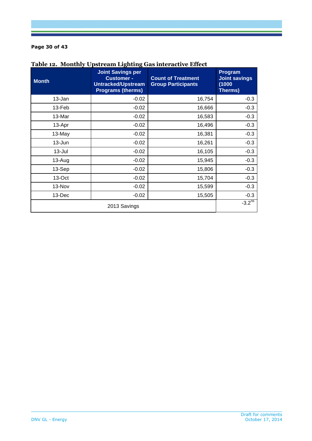#### **Page 30 of 43**

| <b>Month</b> | <b>Joint Savings per</b><br><b>Customer -</b><br><b>Untracked/Upstream</b><br><b>Programs (therms)</b> | <b>Count of Treatment</b><br><b>Group Participants</b> | Program<br><b>Joint savings</b><br>(1000)<br>Therms) |
|--------------|--------------------------------------------------------------------------------------------------------|--------------------------------------------------------|------------------------------------------------------|
| 13-Jan       | $-0.02$                                                                                                | 16,754                                                 | $-0.3$                                               |
| 13-Feb       | $-0.02$                                                                                                | 16,666                                                 | $-0.3$                                               |
| 13-Mar       | $-0.02$                                                                                                | 16,583                                                 | $-0.3$                                               |
| 13-Apr       | $-0.02$                                                                                                | 16,496                                                 | $-0.3$                                               |
| 13-May       | $-0.02$                                                                                                | 16,381                                                 | $-0.3$                                               |
| 13-Jun       | $-0.02$                                                                                                | 16,261                                                 | $-0.3$                                               |
| $13 -$ Jul   | $-0.02$                                                                                                | 16,105                                                 | $-0.3$                                               |
| $13-Auq$     | $-0.02$                                                                                                | 15,945                                                 | $-0.3$                                               |
| 13-Sep       | $-0.02$                                                                                                | 15,806                                                 | $-0.3$                                               |
| 13-Oct       | $-0.02$                                                                                                | 15,704                                                 | $-0.3$                                               |
| 13-Nov       | $-0.02$                                                                                                | 15,599                                                 | $-0.3$                                               |
| 13-Dec       | $-0.02$                                                                                                | 15,505                                                 | $-0.3$                                               |
|              | $-3.2ns$                                                                                               |                                                        |                                                      |

# <span id="page-33-0"></span>**Table 12. Monthly Upstream Lighting Gas interactive Effect**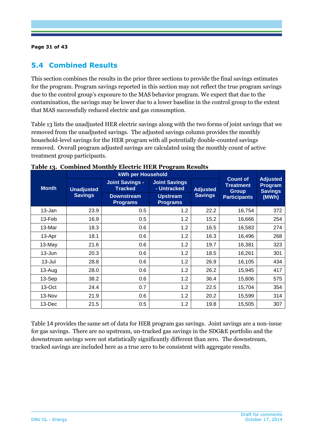#### **Page 31 of 43**

# <span id="page-34-0"></span>**5.4 Combined Results**

This section combines the results in the prior three sections to provide the final savings estimates for the program. Program savings reported in this section may not reflect the true program savings due to the control group's exposure to the MAS behavior program. We expect that due to the contamination, the savings may be lower due to a lower baseline in the control group to the extent that MAS successfully reduced electric and gas consumption.

[Table 13](#page-34-1) lists the unadjusted HER electric savings along with the two forms of joint savings that we removed from the unadjusted savings. The adjusted savings column provides the monthly household-level savings for the HER program with all potentially double-counted savings removed. Overall program adjusted savings are calculated using the monthly count of active treatment group participants.

|              |                   | kWh per Household                                                               |                                    |                 |                                              |                                              |
|--------------|-------------------|---------------------------------------------------------------------------------|------------------------------------|-----------------|----------------------------------------------|----------------------------------------------|
| <b>Month</b> | <b>Unadjusted</b> | <b>Joint Savings -</b><br><b>Joint Savings</b><br><b>Tracked</b><br>- Untracked |                                    | <b>Adjusted</b> | <b>Count of</b><br>Treatment<br><b>Group</b> | <b>Adjusted</b><br>Program<br><b>Savings</b> |
|              | <b>Savings</b>    | <b>Downstream</b><br><b>Programs</b>                                            | <b>Upstream</b><br><b>Programs</b> | <b>Savings</b>  | <b>Participants</b>                          | (MWh)                                        |
| 13-Jan       | 23.9              | 0.5                                                                             | 1.2                                | 22.2            | 16,754                                       | 372                                          |
| 13-Feb       | 16.9              | 0.5                                                                             | 1.2                                | 15.2            | 16,666                                       | 254                                          |
| 13-Mar       | 18.3              | 0.6                                                                             | 1.2                                | 16.5            | 16,583                                       | 274                                          |
| 13-Apr       | 18.1              | 0.6                                                                             | 1.2                                | 16.3            | 16,496                                       | 268                                          |
| $13$ -May    | 21.6              | 0.6                                                                             | 1.2                                | 19.7            | 16,381                                       | 323                                          |
| 13-Jun       | 20.3              | 0.6                                                                             | 1.2                                | 18.5            | 16,261                                       | 301                                          |
| $13 -$ Jul   | 28.8              | 0.6                                                                             | 1.2                                | 26.9            | 16,105                                       | 434                                          |
| $13 - Aug$   | 28.0              | 0.6                                                                             | 1.2                                | 26.2            | 15,945                                       | 417                                          |
| 13-Sep       | 38.2              | 0.6                                                                             | 1.2                                | 36.4            | 15,806                                       | 575                                          |
| 13-Oct       | 24.4              | 0.7                                                                             | 1.2                                | 22.5            | 15,704                                       | 354                                          |
| 13-Nov       | 21.9              | 0.6                                                                             | 1.2                                | 20.2            | 15,599                                       | 314                                          |
| 13-Dec       | 21.5              | 0.5                                                                             | 1.2                                | 19.8            | 15,505                                       | 307                                          |

#### <span id="page-34-1"></span>**Table 13. Combined Monthly Electric HER Program Results**

[Table](#page-35-0) 14 provides the same set of data for HER program gas savings. Joint savings are a non-issue for gas savings. There are no upstream, un-tracked gas savings in the SDG&E portfolio and the downstream savings were not statistically significantly different than zero. The downstream, tracked savings are included here as a true zero to be consistent with aggregate results.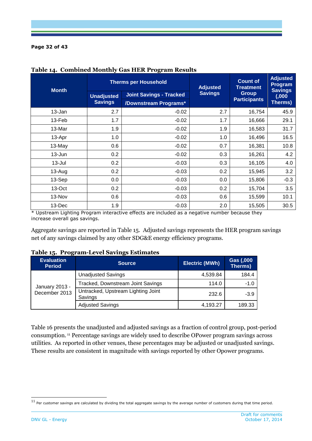#### **Page 32 of 43**

| <b>Month</b> |                   | <b>Therms per Household</b>    | <b>Adjusted</b> | <b>Count of</b><br><b>Treatment</b> | <b>Adjusted</b><br>Program<br><b>Savings</b> |
|--------------|-------------------|--------------------------------|-----------------|-------------------------------------|----------------------------------------------|
|              | <b>Unadjusted</b> | <b>Joint Savings - Tracked</b> | <b>Savings</b>  | <b>Group</b>                        | (0,000)                                      |
|              | <b>Savings</b>    | /Downstream Programs*          |                 | <b>Participants</b>                 | <b>Therms)</b>                               |
| 13-Jan       | 2.7               | $-0.02$                        | 2.7             | 16,754                              | 45.9                                         |
| 13-Feb       | 1.7               | $-0.02$                        | 1.7             | 16,666                              | 29.1                                         |
| 13-Mar       | 1.9               | $-0.02$                        | 1.9             | 16,583                              | 31.7                                         |
| 13-Apr       | 1.0               | $-0.02$                        | 1.0             | 16,496                              | 16.5                                         |
| 13-May       | 0.6               | $-0.02$                        | 0.7             | 16,381                              | 10.8                                         |
| 13-Jun       | 0.2               | $-0.02$                        | 0.3             | 16,261                              | 4.2                                          |
| $13 -$ Jul   | 0.2               | $-0.03$                        | 0.3             | 16,105                              | 4.0                                          |
| $13 - Aug$   | 0.2               | $-0.03$                        | 0.2             | 15,945                              | 3.2                                          |
| 13-Sep       | 0.0               | $-0.03$                        | 0.0             | 15,806                              | $-0.3$                                       |
| 13-Oct       | 0.2               | $-0.03$                        | 0.2             | 15,704                              | 3.5                                          |
| 13-Nov       | 0.6               | $-0.03$                        | 0.6             | 15,599                              | 10.1                                         |
| 13-Dec       | 1.9               | $-0.03$                        | 2.0             | 15,505                              | 30.5                                         |

#### <span id="page-35-0"></span>**Table 14. Combined Monthly Gas HER Program Results**

\* Upstream Lighting Program interactive effects are included as a negative number because they increase overall gas savings.

Aggregate savings are reported in [Table 15.](#page-35-1) Adjusted savings represents the HER program savings net of any savings claimed by any other SDG&E energy efficiency programs.

#### <span id="page-35-1"></span>**Table 15. Program-Level Savings Estimates**

| <b>Evaluation</b><br><b>Period</b> | <b>Source</b>                                 | <b>Electric (MWh)</b> | Gas (,000<br>Therms) |
|------------------------------------|-----------------------------------------------|-----------------------|----------------------|
|                                    | <b>Unadjusted Savings</b>                     | 4,539.84              | 184.4                |
| January 2013 -<br>December 2013    | Tracked, Downstream Joint Savings             | 114.0                 | $-1.0$               |
|                                    | Untracked, Upstream Lighting Joint<br>Savings | 232.6                 | $-3.9$               |
|                                    | <b>Adjusted Savings</b>                       | 4,193.27              | 189.33               |

[Table 16](#page-36-0) presents the unadjusted and adjusted savings as a fraction of control group, post-period consumption. <sup>11</sup> Percentage savings are widely used to describe OPower program savings across utilities. As reported in other venues, these percentages may be adjusted or unadjusted savings. These results are consistent in magnitude with savings reported by other Opower programs.

1

 $11$  Per customer savings are calculated by dividing the total aggregate savings by the average number of customers during that time period.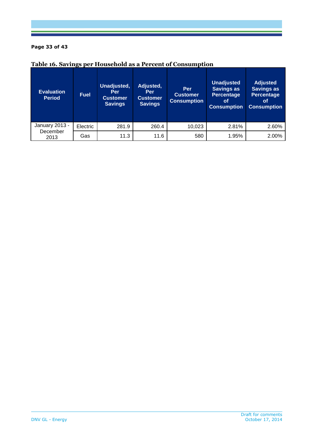#### **Page 33 of 43**

# <span id="page-36-0"></span>**Table 16. Savings per Household as a Percent of Consumption**

| <b>Evaluation</b><br><b>Period</b> | <b>Fuel</b> | Unadjusted,<br>Per<br><b>Customer</b><br><b>Savings</b> | Adjusted,<br><b>Per</b><br><b>Customer</b><br><b>Savings</b> | Per.<br><b>Customer</b><br><b>Consumption</b> | <b>Unadjusted</b><br><b>Savings as</b><br><b>Percentage</b><br>οf<br><b>Consumption</b> | <b>Adjusted</b><br><b>Savings as</b><br>Percentage<br><b>o</b> t<br><b>Consumption</b> |
|------------------------------------|-------------|---------------------------------------------------------|--------------------------------------------------------------|-----------------------------------------------|-----------------------------------------------------------------------------------------|----------------------------------------------------------------------------------------|
| January 2013 -                     | Electric    | 281.9                                                   | 260.4                                                        | 10,023                                        | 2.81%                                                                                   | 2.60%                                                                                  |
| December<br>2013                   | Gas         | 11.3                                                    | 11.6                                                         | 580                                           | 1.95%                                                                                   | 2.00%                                                                                  |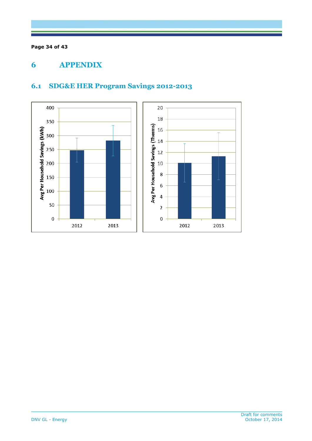**Page 34 of 43**

# <span id="page-37-0"></span>**6 APPENDIX**



# <span id="page-37-1"></span>**6.1 SDG&E HER Program Savings 2012-2013**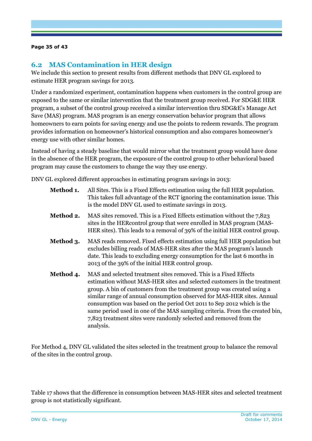#### **Page 35 of 43**

### <span id="page-38-0"></span>**6.2 MAS Contamination in HER design**

We include this section to present results from different methods that DNV GL explored to estimate HER program savings for 2013.

Under a randomized experiment, contamination happens when customers in the control group are exposed to the same or similar intervention that the treatment group received. For SDG&E HER program, a subset of the control group received a similar intervention thru SDG&E's Manage Act Save (MAS) program. MAS program is an energy conservation behavior program that allows homeowners to earn points for saving energy and use the points to redeem rewards. The program provides information on homeowner's historical consumption and also compares homeowner's energy use with other similar homes.

Instead of having a steady baseline that would mirror what the treatment group would have done in the absence of the HER program, the exposure of the control group to other behavioral based program may cause the customers to change the way they use energy.

DNV GL explored different approaches in estimating program savings in 2013:

- **Method 1.** All Sites. This is a Fixed Effects estimation using the full HER population. This takes full advantage of the RCT ignoring the contamination issue. This is the model DNV GL used to estimate savings in 2013.
- **Method 2.** MAS sites removed. This is a Fixed Effects estimation without the 7,823 sites in the HERcontrol group that were enrolled in MAS program (MAS-HER sites). This leads to a removal of 39% of the initial HER control group.
- **Method 3.** MAS reads removed. Fixed effects estimation using full HER population but excludes billing reads of MAS-HER sites after the MAS program's launch date. This leads to excluding energy consumption for the last 6 months in 2013 of the 39% of the initial HER control group.
- **Method 4.** MAS and selected treatment sites removed. This is a Fixed Effects estimation without MAS-HER sites and selected customers in the treatment group. A bin of customers from the treatment group was created using a similar range of annual consumption observed for MAS-HER sites. Annual consumption was based on the period Oct 2011 to Sep 2012 which is the same period used in one of the MAS sampling criteria. From the created bin, 7,823 treatment sites were randomly selected and removed from the analysis.

For Method 4, DNV GL validated the sites selected in the treatment group to balance the removal of the sites in the control group[.](#page-38-1) 

<span id="page-38-1"></span>[Table](#page-38-1) 17 shows that the difference in consumption between MAS-HER sites and selected treatment group is not statistically significant.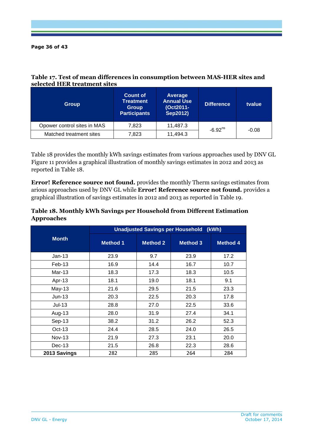#### <span id="page-39-0"></span>**Table 17. Test of mean differences in consumption between MAS-HER sites and selected HER treatment sites**

| <b>Group</b>                | <b>Count of</b><br><b>Treatment</b><br><b>Group</b><br><b>Participants</b> | Average<br><b>Annual Use</b><br>(Oct2011-<br><b>Sep2012)</b> | <b>Difference</b> | tvalue  |
|-----------------------------|----------------------------------------------------------------------------|--------------------------------------------------------------|-------------------|---------|
| Opower control sites in MAS | 7,823                                                                      | 11,487.3                                                     | $-6.92ns$         | $-0.08$ |
| Matched treatment sites     | 7,823                                                                      | 11,494.3                                                     |                   |         |

[Table 18](#page-39-1) provides the monthly kWh savings estimates from various approaches used by DNV GL [Figure 11](#page-40-1) provides a graphical illustration of monthly savings estimates in 2012 and 2013 as reported in Table 18.

**Error! Reference source not found.** provides the monthly Therm savings estimates from arious approaches used by DNV GL while **Error! Reference source not found.** provides a graphical illustration of savings estimates in 2012 and 2013 as reported in [Table 19.](#page-40-0)

#### <span id="page-39-1"></span>**Table 18. Monthly kWh Savings per Household from Different Estimation Approaches**

|               | <b>Unadjusted Savings per Household (kWh)</b> |                 |                 |                 |  |  |
|---------------|-----------------------------------------------|-----------------|-----------------|-----------------|--|--|
| <b>Month</b>  | <b>Method 1</b>                               | <b>Method 2</b> | <b>Method 3</b> | <b>Method 4</b> |  |  |
| $Jan-13$      | 23.9                                          | 9.7             | 23.9            | 17.2            |  |  |
| Feb-13        | 16.9                                          | 14.4            | 16.7            | 10.7            |  |  |
| Mar-13        | 18.3                                          | 17.3            | 18.3            | 10.5            |  |  |
| Apr-13        | 18.1                                          | 19.0            | 18.1            | 9.1             |  |  |
| $May-13$      | 21.6                                          | 29.5            | 21.5            | 23.3            |  |  |
| $Jun-13$      | 20.3                                          | 22.5            | 20.3            | 17.8            |  |  |
| <b>Jul-13</b> | 28.8                                          | 27.0            | 22.5            | 33.6            |  |  |
| Aug-13        | 28.0                                          | 31.9            | 27.4            | 34.1            |  |  |
| Sep-13        | 38.2                                          | 31.2            | 26.2            | 52.3            |  |  |
| $Oct-13$      | 24.4                                          | 28.5            | 24.0            | 26.5            |  |  |
| <b>Nov-13</b> | 21.9                                          | 27.3            | 23.1            | 20.0            |  |  |
| Dec-13        | 21.5                                          | 26.8            | 22.3            | 28.6            |  |  |
| 2013 Savings  | 282                                           | 285             | 264             | 284             |  |  |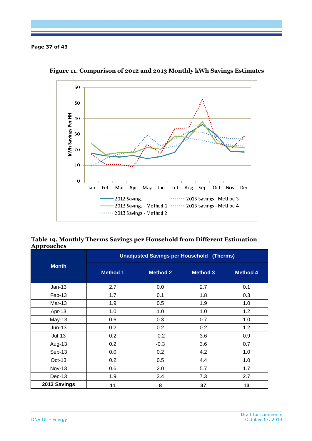



<span id="page-40-1"></span>**Figure 11. Comparison of 2012 and 2013 Monthly kWh Savings Estimates**

<span id="page-40-0"></span>

|                   | Table 19. Monthly Therms Savings per Household from Different Estimation |
|-------------------|--------------------------------------------------------------------------|
| <b>Approaches</b> |                                                                          |

|               | <b>Unadjusted Savings per Household (Therms)</b> |                 |                 |                 |  |  |
|---------------|--------------------------------------------------|-----------------|-----------------|-----------------|--|--|
| <b>Month</b>  | <b>Method 1</b>                                  | <b>Method 2</b> | <b>Method 3</b> | <b>Method 4</b> |  |  |
| $Jan-13$      | 2.7                                              | 0.0             | 2.7             | 0.1             |  |  |
| Feb-13        | 1.7                                              | 0.1             | 1.8             | 0.3             |  |  |
| Mar-13        | 1.9                                              | 0.5             | 1.9             | 1.0             |  |  |
| Apr-13        | 1.0                                              | 1.0             | 1.0             | 1.2             |  |  |
| $May-13$      | 0.6                                              | 0.3             | 0.7             | 1.0             |  |  |
| $Jun-13$      | 0.2                                              | 0.2             | 0.2             | 1.2             |  |  |
| $Jul-13$      | 0.2                                              | $-0.2$          | 3.6             | 0.9             |  |  |
| Aug-13        | 0.2                                              | $-0.3$          | 3.6             | 0.7             |  |  |
| Sep-13        | 0.0                                              | 0.2             | 4.2             | 1.0             |  |  |
| Oct-13        | 0.2                                              | 0.5             | 4.4             | 1.0             |  |  |
| <b>Nov-13</b> | 0.6                                              | 2.0             | 5.7             | 1.7             |  |  |
| Dec-13        | 1.9                                              | 3.4             | 7.3             | 2.7             |  |  |
| 2013 Savings  | 11                                               | 8               | 37              | 13              |  |  |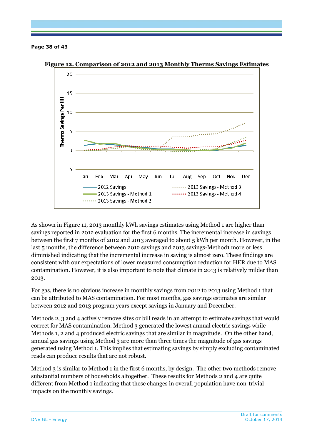



<span id="page-41-0"></span>**Figure 12. Comparison of 2012 and 2013 Monthly Therms Savings Estimates**

As shown in Figure 11, 2013 monthly kWh savings estimates using Method 1 are higher than savings reported in 2012 evaluation for the first 6 months. The incremental increase in savings between the first 7 months of 2012 and 2013 averaged to about 5 kWh per month. However, in the last 5 months, the difference between 2012 savings and 2013 savings-Method1 more or less diminished indicating that the incremental increase in saving is almost zero. These findings are consistent with our expectations of lower measured consumption reduction for HER due to MAS contamination. However, it is also important to note that climate in 2013 is relatively milder than 2013.

For gas, there is no obvious increase in monthly savings from 2012 to 2013 using Method 1 that can be attributed to MAS contamination. For most months, gas savings estimates are similar between 2012 and 2013 program years except savings in January and December.

Methods 2, 3 and 4 actively remove sites or bill reads in an attempt to estimate savings that would correct for MAS contamination. Method 3 generated the lowest annual electric savings while Methods 1, 2 and 4 produced electric savings that are similar in magnitude. On the other hand, annual gas savings using Method 3 are more than three times the magnitude of gas savings generated using Method 1. This implies that estimating savings by simply excluding contaminated reads can produce results that are not robust.

Method 3 is similar to Method 1 in the first 6 months, by design. The other two methods remove substantial numbers of households altogether. These results for Methods 2 and 4 are quite different from Method 1 indicating that these changes in overall population have non-trivial impacts on the monthly savings.